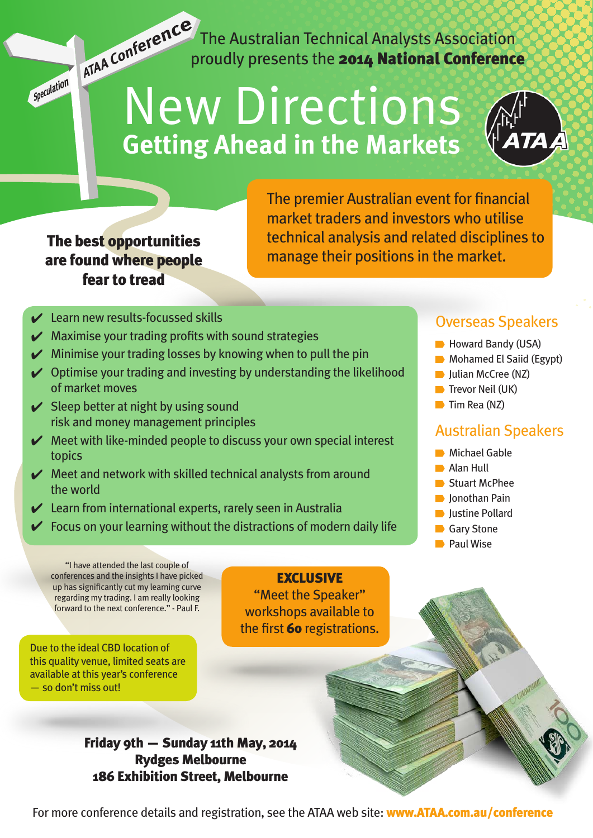The Australian Technical Analysts Association ATAA Conter The Australian Technical Analysts Association

# New Directions **Getting Ahead in the Markets**



### The best opportunities are found where people fear to tread

Speculation

The premier Australian event for financial market traders and investors who utilise technical analysis and related disciplines to manage their positions in the market.

- $\vee$  Learn new results-focussed skills
- $\blacktriangleright$  Maximise your trading profits with sound strategies
- $\blacktriangleright$  Minimise your trading losses by knowing when to pull the pin
- $\vee$  Optimise your trading and investing by understanding the likelihood of market moves
- $\vee$  Sleep better at night by using sound risk and money management principles
- $\blacktriangleright$  Meet with like-minded people to discuss your own special interest topics
- $\blacktriangleright$  Meet and network with skilled technical analysts from around the world
- $\angle$  Learn from international experts, rarely seen in Australia
- $\checkmark$  Focus on your learning without the distractions of modern daily life

#### Overseas Speakers

- Howard Bandy (USA)
- **Mohamed El Saiid (Egypt)**
- **Julian McCree (NZ)**
- $\blacksquare$  Trevor Neil (UK)
- $\blacksquare$  Tim Rea (NZ)

#### Australian Speakers

- **Michael Gable**
- **Alan Hull**
- **Stuart McPhee**
- **D** Ionothan Pain
- **D** Justine Pollard
- Gary Stone
- **Paul Wise**

"I have attended the last couple of conferences and the insights I have picked up has significantly cut my learning curve regarding my trading. I am really looking forward to the next conference." - Paul F.

Due to the ideal CBD location of this quality venue, limited seats are available at this year's conference — so don't miss out!

#### **EXCLUSIVE**

"Meet the Speaker" workshops available to the first 60 registrations.

Friday 9th — Sunday 11th May, 2014 Rydges Melbourne 186 Exhibition Street, Melbourne

For more conference details and registration, see the ATAA web site: www.ATAA.com.au/conference